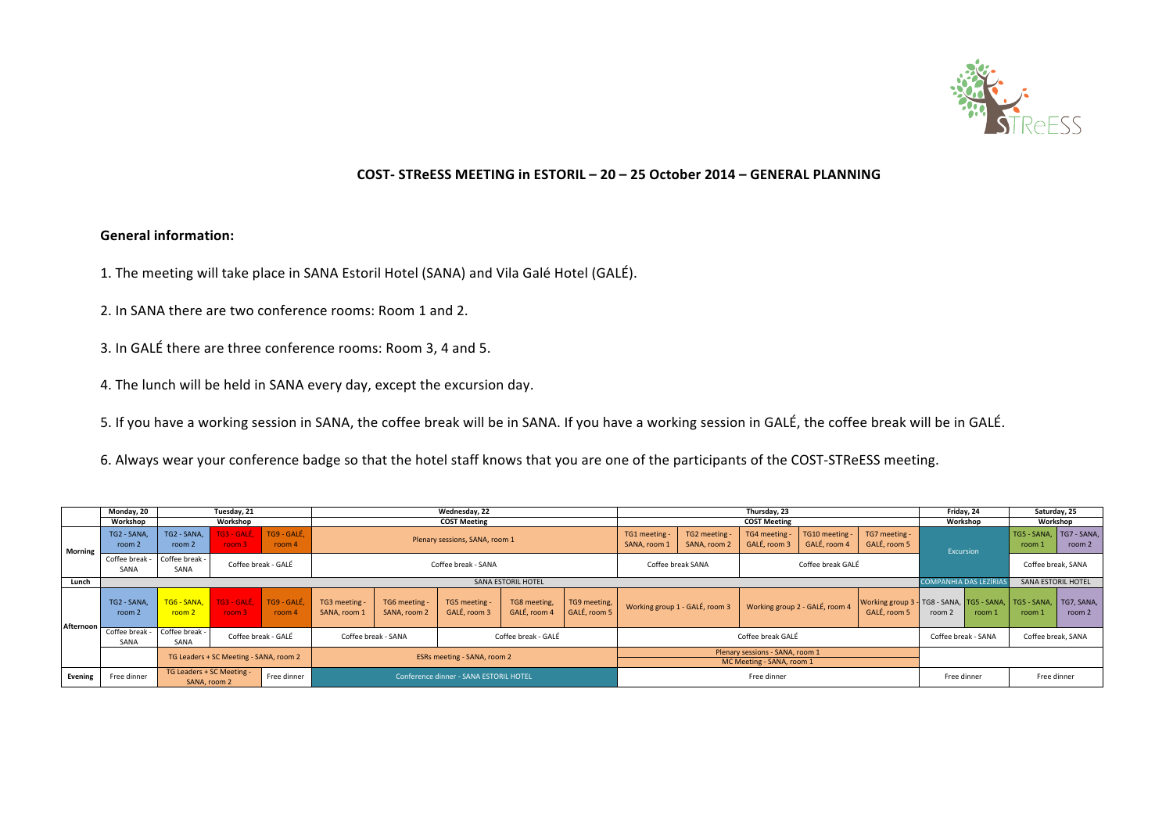

### **COST- STReESS MEETING in ESTORIL – 20 – 25 October 2014 – GENERAL PLANNING**

## **General information:**

1. The meeting will take place in SANA Estoril Hotel (SANA) and Vila Galé Hotel (GALÉ).

- 2. In SANA there are two conference rooms: Room 1 and 2.
- 3. In GALÉ there are three conference rooms: Room 3, 4 and 5.
- 4. The lunch will be held in SANA every day, except the excursion day.

5. If you have a working session in SANA, the coffee break will be in SANA. If you have a working session in GALÉ, the coffee break will be in GALÉ.

6. Always wear your conference badge so that the hotel staff knows that you are one of the participants of the COST-STReESS meeting.

|           | Monday, 20            | Tuesday, 21                                              |                          |                       | Wednesday, 22                              |                                        |                               |                              | Thursday, 23                 |                                |                                                              |                                |                                | Friday, 24                                                                       |                              | Saturday, 25 |                                   |        |
|-----------|-----------------------|----------------------------------------------------------|--------------------------|-----------------------|--------------------------------------------|----------------------------------------|-------------------------------|------------------------------|------------------------------|--------------------------------|--------------------------------------------------------------|--------------------------------|--------------------------------|----------------------------------------------------------------------------------|------------------------------|--------------|-----------------------------------|--------|
|           | Workshop              | Workshop<br><b>COST Meeting</b>                          |                          |                       | <b>COST Meeting</b>                        |                                        |                               |                              |                              | Workshop                       |                                                              | Workshop                       |                                |                                                                                  |                              |              |                                   |        |
| Morning   | TG2 - SANA,<br>room 2 | TG2 - SANA,<br>room 2                                    | TG3 - GALÉ.<br>room 3    | TG9 - GALÉ,<br>room 4 | Plenary sessions, SANA, room 1             |                                        |                               |                              |                              | TG1 meeting -<br>SANA, room 1  | TG2 meeting<br>SANA, room 2                                  | TG4 meeting -<br>GALÉ, room 3  | TG10 meeting -<br>GALÉ, room 4 | TG7 meeting -<br>GALÉ, room 5                                                    | Excursion                    |              | TG5 - SANA. TG7 - SANA.<br>room 1 | room 2 |
|           | Coffee break<br>SANA  | Coffee break -<br>Coffee break - GALÉ<br>SANA            |                          |                       | Coffee break - SANA                        |                                        |                               |                              | Coffee break SANA            |                                | Coffee break GALÉ                                            |                                |                                |                                                                                  | Coffee break, SANA           |              |                                   |        |
| Lunch     |                       |                                                          |                          |                       |                                            |                                        |                               | <b>SANA ESTORIL HOTEL</b>    |                              |                                |                                                              |                                |                                |                                                                                  | <b>COMPANHIA DAS LEZÍRIA</b> |              | <b>SANA ESTORIL HOTEL</b>         |        |
| Afternoon | TG2 - SANA<br>room 2  | TG6 - SANA.<br>room <sub>2</sub>                         | TG3 - GALÉ.<br>room $31$ | TG9 - GALÉ,<br>room 4 | TG3 meeting -<br>SANA, room 1              | TG6 meeting -<br>SANA, room 2          | TG5 meeting -<br>GALÉ, room 3 | TG8 meeting,<br>GALÉ, room 4 | TG9 meeting,<br>GALÉ, room 5 | Working group 1 - GALÉ, room 3 |                                                              | Working group 2 - GALÉ, room 4 |                                | Working group 3 - TG8 - SANA, TG5 - SANA, TG5 - SANA, TG7, SANA,<br>GALÉ, room 5 | room 2                       | room 1       | room 1                            | room 2 |
|           | Coffee break<br>SANA  | Coffee break -<br>SANA                                   | Coffee break - GALÉ      |                       | Coffee break - GALÉ<br>Coffee break - SANA |                                        |                               | Coffee break GALÉ            |                              |                                |                                                              | Coffee break - SANA            |                                | Coffee break, SANA                                                               |                              |              |                                   |        |
|           |                       | TG Leaders + SC Meeting - SANA, room 2                   |                          |                       |                                            | ESRs meeting - SANA, room 2            |                               |                              |                              |                                | Plenary sessions - SANA, room 1<br>MC Meeting - SANA, room 1 |                                |                                |                                                                                  |                              |              |                                   |        |
| Evening   | Free dinner           | TG Leaders + SC Meeting -<br>Free dinner<br>SANA, room 2 |                          |                       |                                            | Conference dinner - SANA ESTORIL HOTEL |                               |                              |                              |                                | Free dinner                                                  |                                |                                |                                                                                  | Free dinner                  |              | Free dinner                       |        |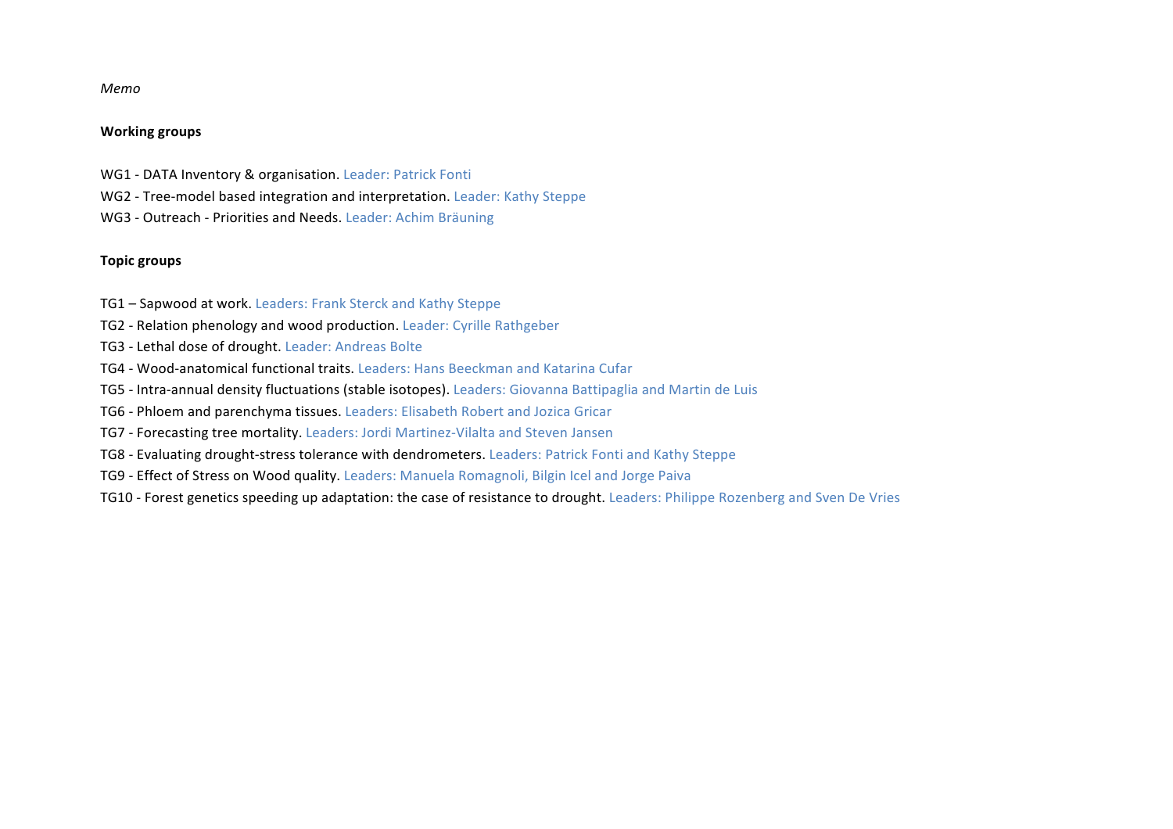#### *Memo*

#### **Working groups**

- WG1 DATA Inventory & organisation. Leader: Patrick Fonti
- WG2 Tree-model based integration and interpretation. Leader: Kathy Steppe
- WG3 Outreach Priorities and Needs. Leader: Achim Bräuning

#### **Topic groups**

- TG1 Sapwood at work. Leaders: Frank Sterck and Kathy Steppe
- TG2 Relation phenology and wood production. Leader: Cyrille Rathgeber
- TG3 Lethal dose of drought. Leader: Andreas Bolte
- TG4 Wood-anatomical functional traits. Leaders: Hans Beeckman and Katarina Cufar
- TG5 Intra-annual density fluctuations (stable isotopes). Leaders: Giovanna Battipaglia and Martin de Luis
- TG6 Phloem and parenchyma tissues. Leaders: Elisabeth Robert and Jozica Gricar
- TG7 Forecasting tree mortality. Leaders: Jordi Martinez-Vilalta and Steven Jansen
- TG8 Evaluating drought-stress tolerance with dendrometers. Leaders: Patrick Fonti and Kathy Steppe
- TG9 Effect of Stress on Wood quality. Leaders: Manuela Romagnoli, Bilgin Icel and Jorge Paiva
- TG10 Forest genetics speeding up adaptation: the case of resistance to drought. Leaders: Philippe Rozenberg and Sven De Vries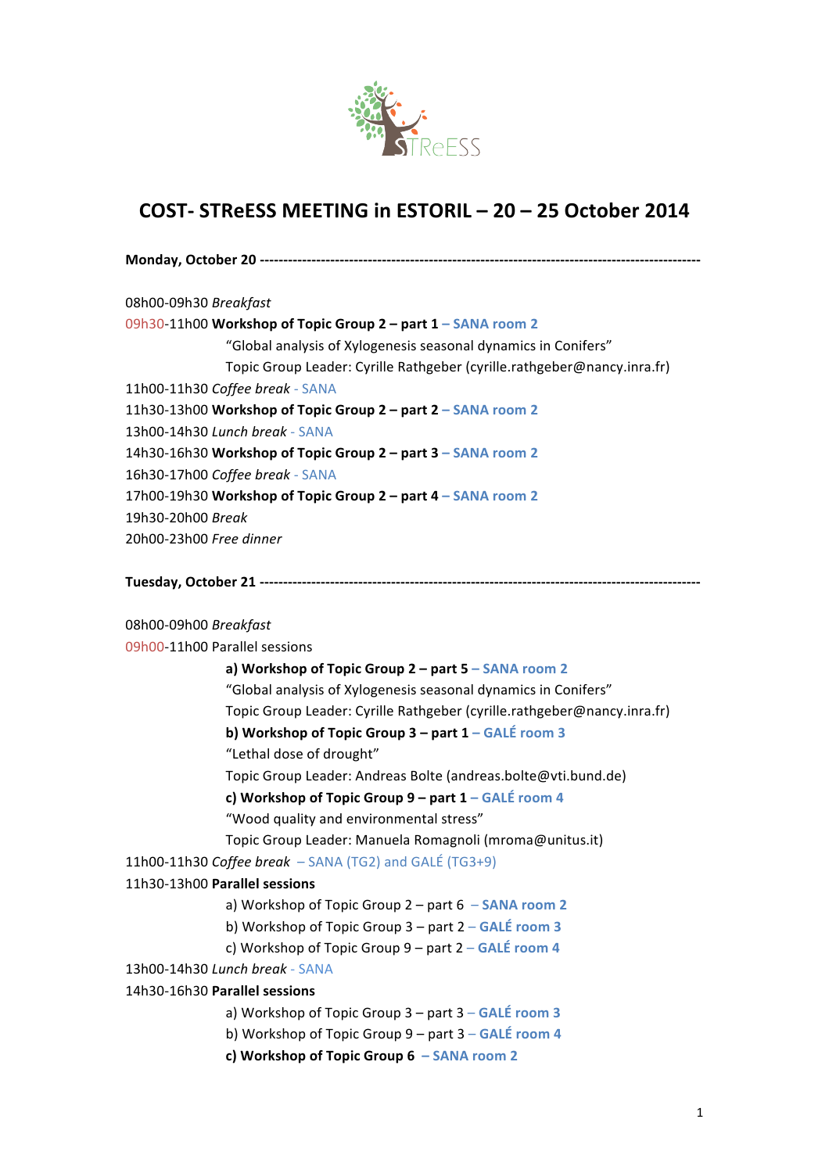

# **COST- STReESS MEETING in ESTORIL – 20 – 25 October 2014**

| 08h00-09h30 Breakfast                                                   |
|-------------------------------------------------------------------------|
| 09h30-11h00 Workshop of Topic Group 2 – part 1 – SANA room 2            |
| "Global analysis of Xylogenesis seasonal dynamics in Conifers"          |
| Topic Group Leader: Cyrille Rathgeber (cyrille.rathgeber@nancy.inra.fr) |
| 11h00-11h30 Coffee break - SANA                                         |
| 11h30-13h00 Workshop of Topic Group 2 – part 2 – SANA room 2            |
| 13h00-14h30 Lunch break - SANA                                          |
| 14h30-16h30 Workshop of Topic Group $2$ – part $3$ – SANA room 2        |
| 16h30-17h00 Coffee break - SANA                                         |
| 17h00-19h30 Workshop of Topic Group 2 – part 4 – SANA room 2            |
| 19h30-20h00 Break                                                       |
| 20h00-23h00 Free dinner                                                 |
|                                                                         |

**Tuesday, October 21 ----------------------------------------------------------------------------------------------**

08h00-09h00 *Breakfast* 09h00-11h00 Parallel sessions

|                                                        | a) Workshop of Topic Group 2 - part 5 - SANA room 2                     |
|--------------------------------------------------------|-------------------------------------------------------------------------|
|                                                        | "Global analysis of Xylogenesis seasonal dynamics in Conifers"          |
|                                                        | Topic Group Leader: Cyrille Rathgeber (cyrille.rathgeber@nancy.inra.fr) |
|                                                        | b) Workshop of Topic Group $3$ – part $1$ – GALÉ room 3                 |
| "Lethal dose of drought"                               |                                                                         |
|                                                        | Topic Group Leader: Andreas Bolte (andreas.bolte@vti.bund.de)           |
|                                                        | c) Workshop of Topic Group 9 – part 1 – GALÉ room 4                     |
| "Wood quality and environmental stress"                |                                                                         |
|                                                        | Topic Group Leader: Manuela Romagnoli (mroma@unitus.it)                 |
| 11h00-11h30 Coffee break – SANA (TG2) and GALÉ (TG3+9) |                                                                         |
| 11h30-13h00 Parallel sessions                          |                                                                         |
|                                                        | a) Workshop of Topic Group $2$ – part $6$ – SANA room 2                 |
|                                                        | b) Workshop of Topic Group $3$ – part $2$ – GALÉ room 3                 |
|                                                        | c) Workshop of Topic Group $9$ – part $2$ – GALÉ room 4                 |
| 13h00-14h30 Lunch break - SANA                         |                                                                         |
| 14h30-16h30 Parallel sessions                          |                                                                         |
|                                                        | a) Workshop of Topic Group 3 - part 3 - GALÉ room 3                     |
|                                                        | b) Workshop of Topic Group 9 – part 3 – GALÉ room 4                     |
| c) Workshop of Topic Group $6 -$ SANA room 2           |                                                                         |
|                                                        |                                                                         |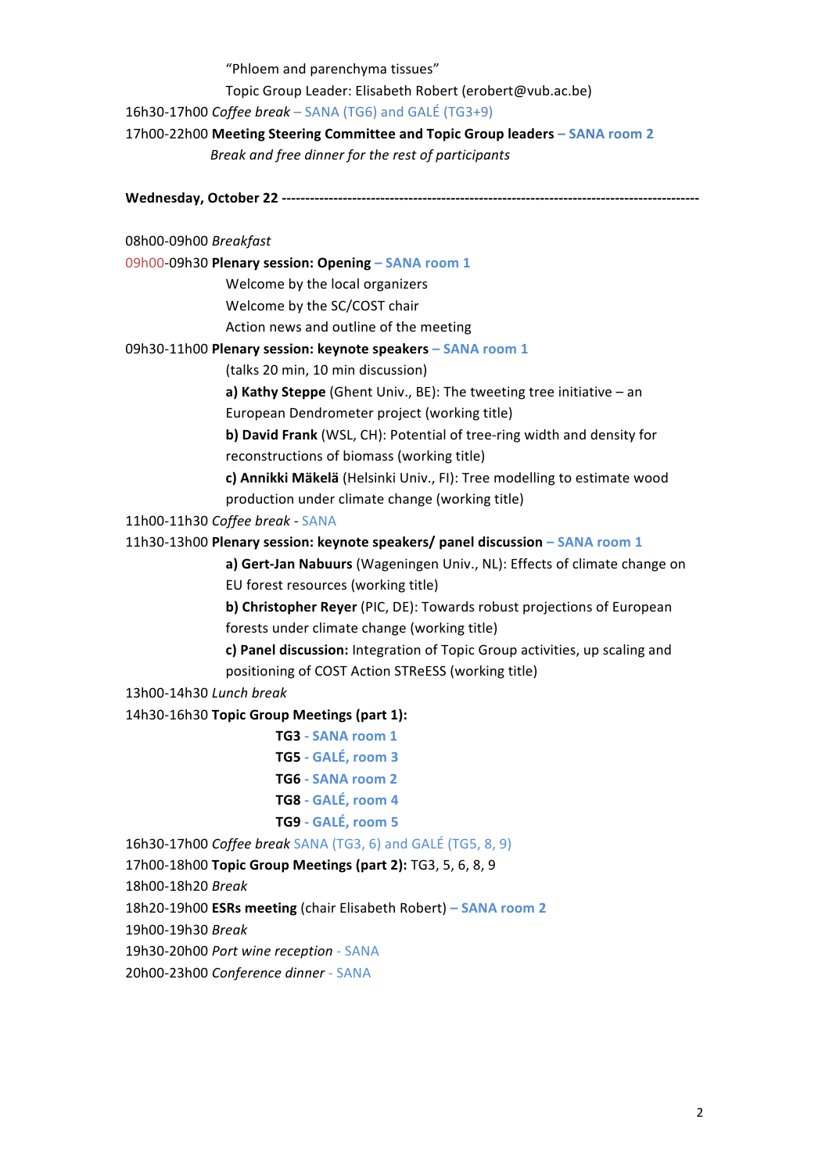"Phloem and parenchyma tissues"

Topic Group Leader: Elisabeth Robert (erobert@vub.ac.be)

16h30-17h00 *Coffee break* – SANA (TG6) and GALÉ (TG3+9)

17h00-22h00 **Meeting Steering Committee and Topic Group leaders – SANA room 2**

 *Break and free dinner for the rest of participants*

**Wednesday, October 22 -----------------------------------------------------------------------------------------**

08h00-09h00 *Breakfast*

09h00-09h30 **Plenary session: Opening – SANA room 1**

Welcome by the local organizers

Welcome by the SC/COST chair

Action news and outline of the meeting

09h30-11h00 **Plenary session: keynote speakers – SANA room 1**

(talks 20 min, 10 min discussion)

**a) Kathy Steppe** (Ghent Univ., BE): The tweeting tree initiative – an European Dendrometer project (working title)

**b) David Frank** (WSL, CH): Potential of tree-ring width and density for reconstructions of biomass (working title)

c) Annikki Mäkelä (Helsinki Univ., FI): Tree modelling to estimate wood production under climate change (working title)

11h00-11h30 *Coffee break -* SANA

11h30-13h00 **Plenary session: keynote speakers/ panel discussion – SANA room 1**

a) Gert-Jan Nabuurs (Wageningen Univ., NL): Effects of climate change on EU forest resources (working title)

**b) Christopher Reyer** (PIC, DE): Towards robust projections of European forests under climate change (working title)

**c) Panel discussion:** Integration of Topic Group activities, up scaling and positioning of COST Action STReESS (working title)

13h00-14h30 *Lunch break*

14h30-16h30 **Topic Group Meetings (part 1):**

**TG3 - SANA room 1**

- **TG5 - GALÉ, room 3**
- **TG6 - SANA room 2**
- **TG8 - GALÉ, room 4**
- **TG9 - GALÉ, room 5**

16h30-17h00 *Coffee break* SANA (TG3, 6) and GALÉ (TG5, 8, 9)

17h00-18h00 **Topic Group Meetings (part 2):** TG3, 5, 6, 8, 9

18h00-18h20 *Break*

18h20-19h00 **ESRs meeting** (chair Elisabeth Robert) **– SANA room 2**

19h00-19h30 *Break*

19h30-20h00 Port wine reception - SANA

20h00-23h00 *Conference dinner -* SANA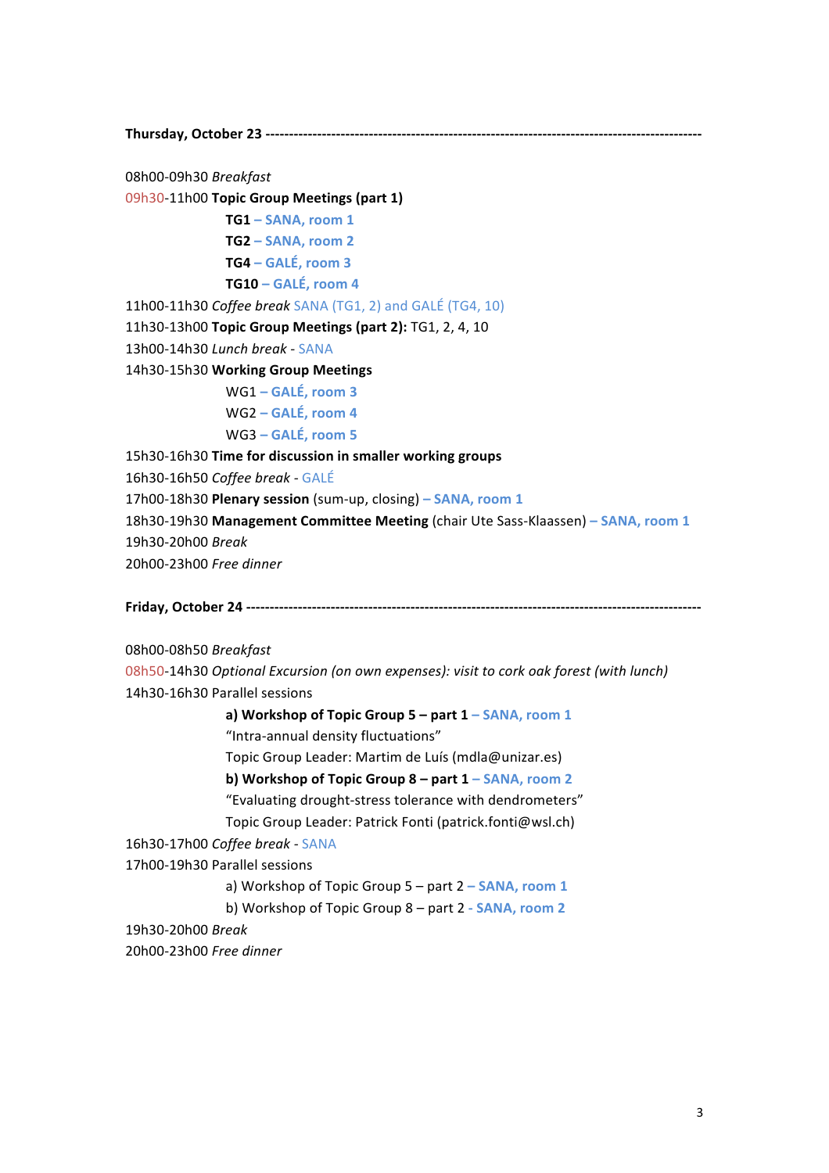**Thursday, October 23 ---------------------------------------------------------------------------------------------**

08h00-09h30 *Breakfast*

09h30-11h00 **Topic Group Meetings (part 1)**

**TG1 – SANA, room 1**

**TG2 – SANA, room 2 TG4 – GALÉ, room 3**

**TG10 – GALÉ, room 4**

11h00-11h30 *Coffee break* SANA (TG1, 2) and GALÉ (TG4, 10)

11h30-13h00 **Topic Group Meetings (part 2):** TG1, 2, 4, 10

13h00-14h30 *Lunch break -* SANA

14h30-15h30 **Working Group Meetings**

WG1 **– GALÉ, room 3** WG2 **– GALÉ, room 4**

WG3 **– GALÉ, room 5**

15h30-16h30 Time for discussion in smaller working groups

16h30-16h50 *Coffee break -* GALÉ

17h00-18h30 **Plenary session** (sum-up, closing) **– SANA, room 1**

18h30-19h30 Management Committee Meeting (chair Ute Sass-Klaassen) - SANA, room 1 19h30-20h00 *Break* 20h00-23h00 *Free dinner*

**Friday, October 24 -------------------------------------------------------------------------------------------------**

08h00-08h50 *Breakfast*

08h50-14h30 Optional Excursion (on own expenses): visit to cork oak forest (with lunch) 14h30-16h30 Parallel sessions

**a)** Workshop of Topic Group 5 – part 1 – SANA, room 1

"Intra-annual density fluctuations"

Topic Group Leader: Martim de Luís (mdla@unizar.es)

**b)** Workshop of Topic Group 8 – part 1 – SANA, room 2

"Evaluating drought-stress tolerance with dendrometers"

Topic Group Leader: Patrick Fonti (patrick.fonti@wsl.ch)

16h30-17h00 *Coffee break -* SANA

17h00-19h30 Parallel sessions

a) Workshop of Topic Group 5 – part 2 – **SANA**, room 1

b) Workshop of Topic Group 8 – part 2 - **SANA**, room 2

19h30-20h00 *Break*

20h00-23h00 *Free dinner*